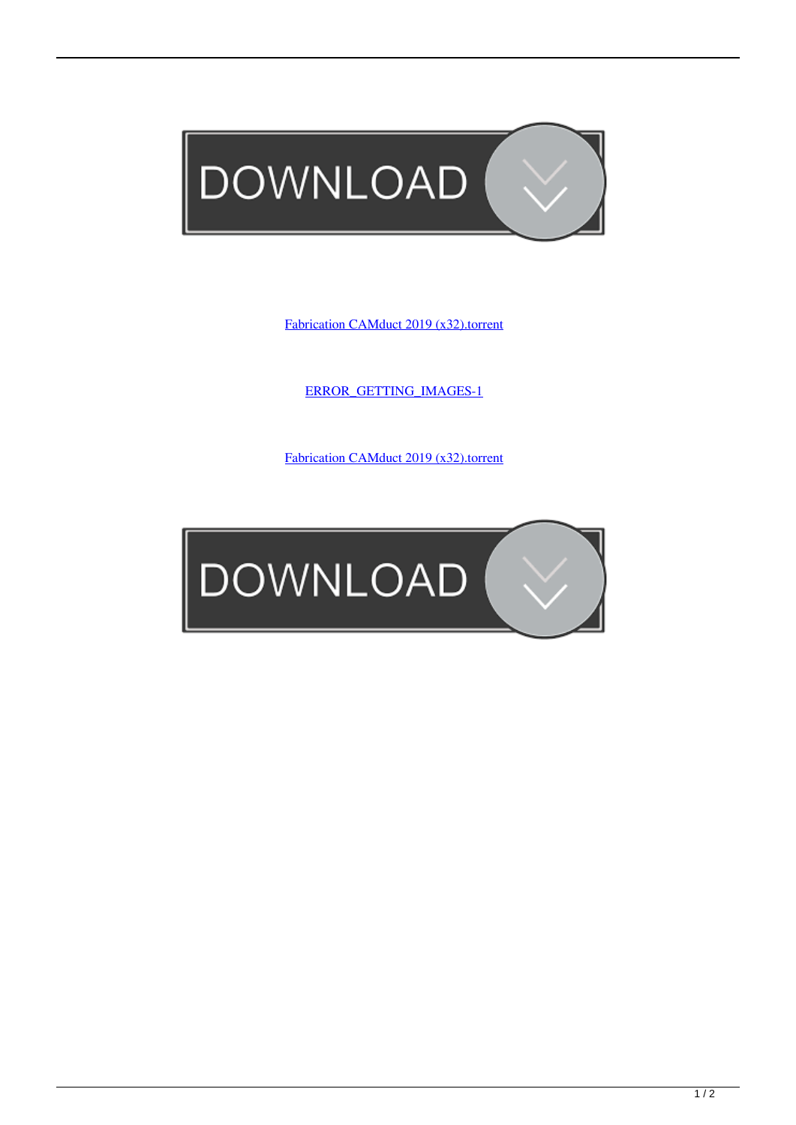

[Fabrication CAMduct 2019 \(x32\).torrent](http://shoxet.com/17o725)

[ERROR\\_GETTING\\_IMAGES-1](http://shoxet.com/17o725)

[Fabrication CAMduct 2019 \(x32\).torrent](http://shoxet.com/17o725)